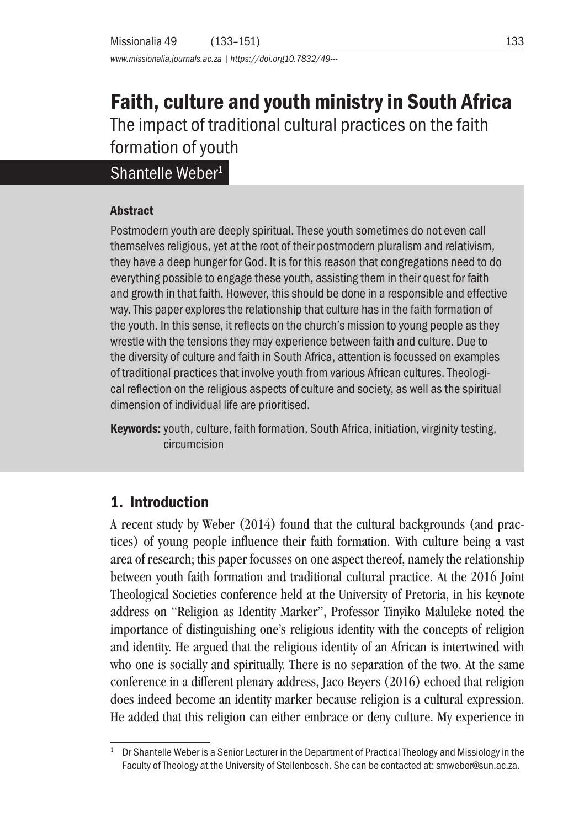*www.missionalia.journals.ac.za | https://doi.org10.7832/49---*

# Faith, culture and youth ministry in South Africa The impact of traditional cultural practices on the faith formation of youth

Shantelle Weber<sup>1</sup>

#### Abstract

Postmodern youth are deeply spiritual. These youth sometimes do not even call themselves religious, yet at the root of their postmodern pluralism and relativism, they have a deep hunger for God. It is for this reason that congregations need to do everything possible to engage these youth, assisting them in their quest for faith and growth in that faith. However, this should be done in a responsible and effective way. This paper explores the relationship that culture has in the faith formation of the youth. In this sense, it reflects on the church's mission to young people as they wrestle with the tensions they may experience between faith and culture. Due to the diversity of culture and faith in South Africa, attention is focussed on examples of traditional practices that involve youth from various African cultures. Theological reflection on the religious aspects of culture and society, as well as the spiritual dimension of individual life are prioritised.

Keywords: youth, culture, faith formation, South Africa, initiation, virginity testing, circumcision

### 1. Introduction

A recent study by Weber (2014) found that the cultural backgrounds (and practices) of young people influence their faith formation. With culture being a vast area of research; this paper focusses on one aspect thereof, namely the relationship between youth faith formation and traditional cultural practice. At the 2016 Joint Theological Societies conference held at the University of Pretoria, in his keynote address on "Religion as Identity Marker", Professor Tinyiko Maluleke noted the importance of distinguishing one's religious identity with the concepts of religion and identity. He argued that the religious identity of an African is intertwined with who one is socially and spiritually. There is no separation of the two. At the same conference in a different plenary address, Jaco Beyers (2016) echoed that religion does indeed become an identity marker because religion is a cultural expression. He added that this religion can either embrace or deny culture. My experience in

<sup>1</sup> Dr Shantelle Weber is a Senior Lecturer in the Department of Practical Theology and Missiology in the Faculty of Theology at the University of Stellenbosch. She can be contacted at: smweber@sun.ac.za.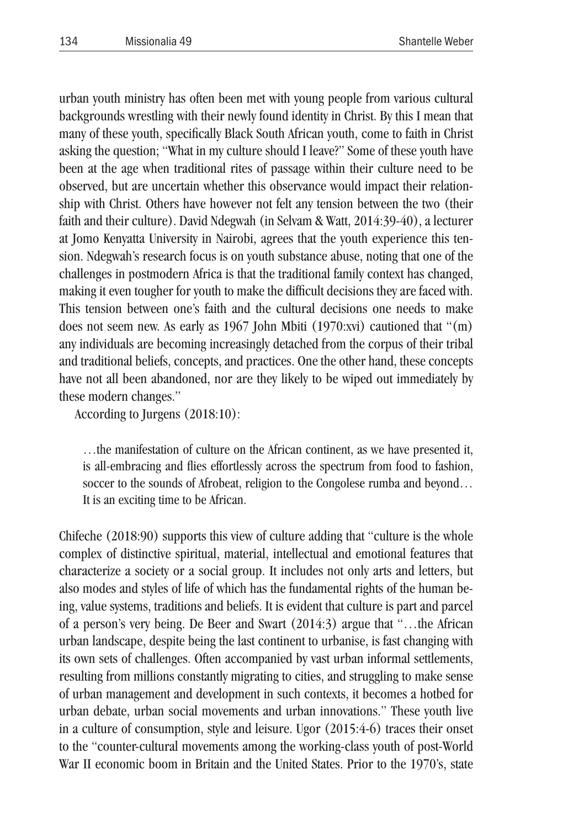urban youth ministry has often been met with young people from various cultural backgrounds wrestling with their newly found identity in Christ. By this I mean that many of these youth, specifically Black South African youth, come to faith in Christ asking the question; "What in my culture should I leave?" Some of these youth have been at the age when traditional rites of passage within their culture need to be observed, but are uncertain whether this observance would impact their relationship with Christ. Others have however not felt any tension between the two (their faith and their culture). David Ndegwah (in Selvam & Watt, 2014:39-40), a lecturer at Jomo Kenyatta University in Nairobi, agrees that the youth experience this tension. Ndegwah's research focus is on youth substance abuse, noting that one of the challenges in postmodern Africa is that the traditional family context has changed, making it even tougher for youth to make the difficult decisions they are faced with. This tension between one's faith and the cultural decisions one needs to make does not seem new. As early as  $1967$  John Mbiti  $(1970:xvi)$  cautioned that " $(m)$ " any individuals are becoming increasingly detached from the corpus of their tribal and traditional beliefs, concepts, and practices. One the other hand, these concepts have not all been abandoned, nor are they likely to be wiped out immediately by these modern changes."

According to Jurgens (2018:10):

…the manifestation of culture on the African continent, as we have presented it, is all-embracing and flies effortlessly across the spectrum from food to fashion, soccer to the sounds of Afrobeat, religion to the Congolese rumba and beyond... It is an exciting time to be African.

Chifeche (2018:90) supports this view of culture adding that "culture is the whole complex of distinctive spiritual, material, intellectual and emotional features that characterize a society or a social group. It includes not only arts and letters, but also modes and styles of life of which has the fundamental rights of the human being, value systems, traditions and beliefs. It is evident that culture is part and parcel of a person's very being. De Beer and Swart (2014:3) argue that "…the African urban landscape, despite being the last continent to urbanise, is fast changing with its own sets of challenges. Often accompanied by vast urban informal settlements, resulting from millions constantly migrating to cities, and struggling to make sense of urban management and development in such contexts, it becomes a hotbed for urban debate, urban social movements and urban innovations." These youth live in a culture of consumption, style and leisure. Ugor  $(2015:4-6)$  traces their onset to the "counter-cultural movements among the working-class youth of post-World War II economic boom in Britain and the United States. Prior to the 1970's, state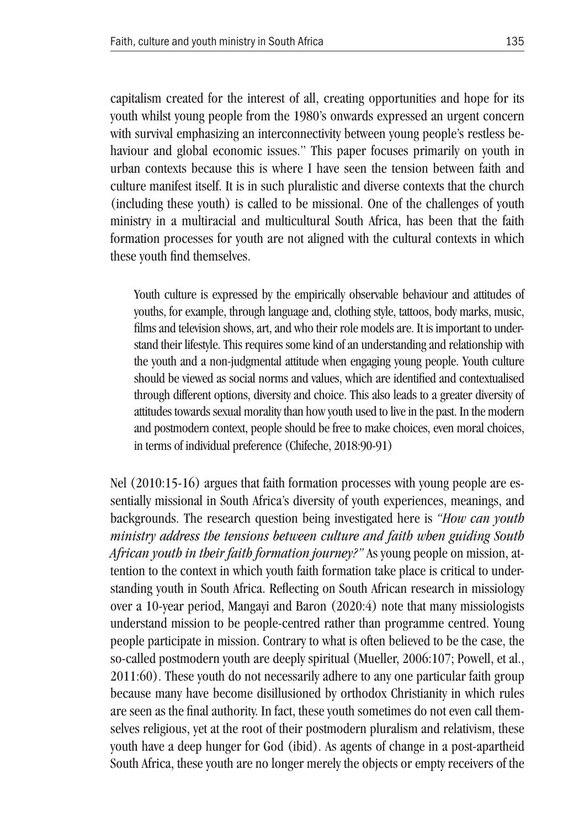capitalism created for the interest of all, creating opportunities and hope for its youth whilst young people from the 1980's onwards expressed an urgent concern with survival emphasizing an interconnectivity between young people's restless behaviour and global economic issues." This paper focuses primarily on youth in urban contexts because this is where I have seen the tension between faith and culture manifest itself. It is in such pluralistic and diverse contexts that the church (including these youth) is called to be missional. One of the challenges of youth ministry in a multiracial and multicultural South Africa, has been that the faith formation processes for youth are not aligned with the cultural contexts in which these youth find themselves.

Youth culture is expressed by the empirically observable behaviour and attitudes of youths, for example, through language and, clothing style, tattoos, body marks, music, films and television shows, art, and who their role models are. It is important to understand their lifestyle. This requires some kind of an understanding and relationship with the youth and a non-judgmental attitude when engaging young people. Youth culture should be viewed as social norms and values, which are identified and contextualised through different options, diversity and choice. This also leads to a greater diversity of attitudes towards sexual morality than how youth used to live in the past. In the modern and postmodern context, people should be free to make choices, even moral choices, in terms of individual preference (Chifeche, 2018:90-91)

Nel (2010:15-16) argues that faith formation processes with young people are essentially missional in South Africa's diversity of youth experiences, meanings, and backgrounds. The research question being investigated here is *"How can youth ministry address the tensions between culture and faith when guiding South African youth in their faith formation journey?"* As young people on mission, attention to the context in which youth faith formation take place is critical to understanding youth in South Africa. Reflecting on South African research in missiology over a 10-year period, Mangayi and Baron (2020:4) note that many missiologists understand mission to be people-centred rather than programme centred. Young people participate in mission. Contrary to what is often believed to be the case, the so-called postmodern youth are deeply spiritual (Mueller, 2006:107; Powell, et al., 2011:60). These youth do not necessarily adhere to any one particular faith group because many have become disillusioned by orthodox Christianity in which rules are seen as the final authority. In fact, these youth sometimes do not even call themselves religious, yet at the root of their postmodern pluralism and relativism, these youth have a deep hunger for God (ibid). As agents of change in a post-apartheid South Africa, these youth are no longer merely the objects or empty receivers of the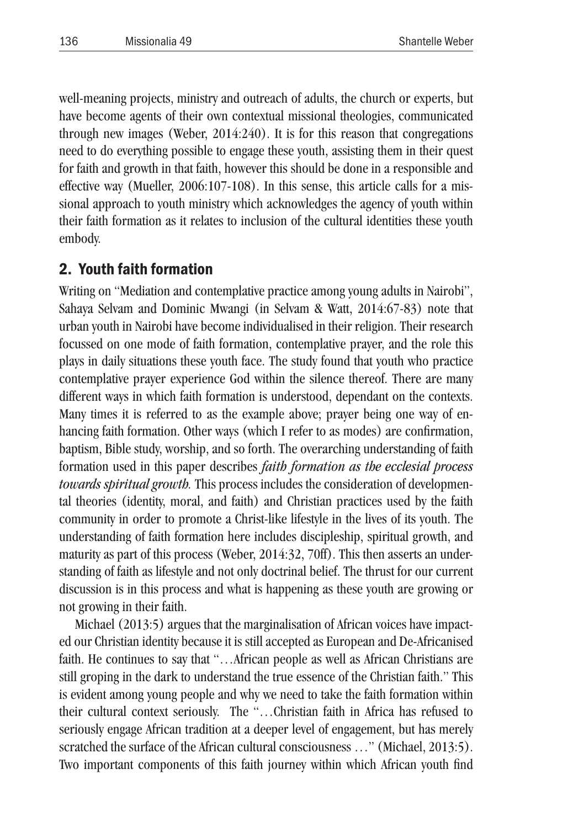well-meaning projects, ministry and outreach of adults, the church or experts, but have become agents of their own contextual missional theologies, communicated through new images (Weber,  $2014:240$ ). It is for this reason that congregations need to do everything possible to engage these youth, assisting them in their quest for faith and growth in that faith, however this should be done in a responsible and effective way (Mueller, 2006:107-108). In this sense, this article calls for a missional approach to youth ministry which acknowledges the agency of youth within their faith formation as it relates to inclusion of the cultural identities these youth embody.

### 2. Youth faith formation

Writing on "Mediation and contemplative practice among young adults in Nairobi", Sahaya Selvam and Dominic Mwangi (in Selvam & Watt, 2014:67-83) note that urban youth in Nairobi have become individualised in their religion. Their research focussed on one mode of faith formation, contemplative prayer, and the role this plays in daily situations these youth face. The study found that youth who practice contemplative prayer experience God within the silence thereof. There are many different ways in which faith formation is understood, dependant on the contexts. Many times it is referred to as the example above; prayer being one way of enhancing faith formation. Other ways (which I refer to as modes) are confirmation, baptism, Bible study, worship, and so forth. The overarching understanding of faith formation used in this paper describes *faith formation as the ecclesial process towards spiritual growth.* This process includes the consideration of developmental theories (identity, moral, and faith) and Christian practices used by the faith community in order to promote a Christ-like lifestyle in the lives of its youth. The understanding of faith formation here includes discipleship, spiritual growth, and maturity as part of this process (Weber, 2014:32, 70ff). This then asserts an understanding of faith as lifestyle and not only doctrinal belief. The thrust for our current discussion is in this process and what is happening as these youth are growing or not growing in their faith.

Michael (2013:5) argues that the marginalisation of African voices have impacted our Christian identity because it is still accepted as European and De-Africanised faith. He continues to say that "…African people as well as African Christians are still groping in the dark to understand the true essence of the Christian faith." This is evident among young people and why we need to take the faith formation within their cultural context seriously. The "…Christian faith in Africa has refused to seriously engage African tradition at a deeper level of engagement, but has merely scratched the surface of the African cultural consciousness ..." (Michael, 2013:5). Two important components of this faith journey within which African youth find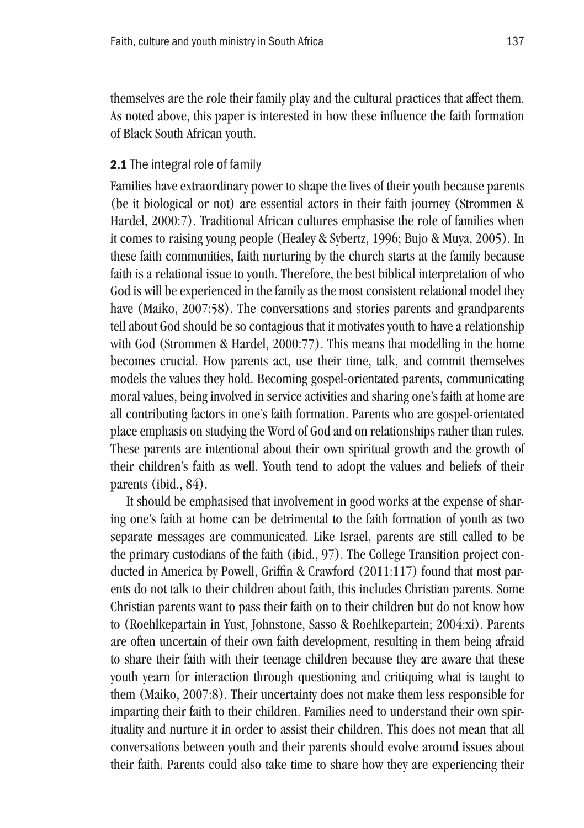themselves are the role their family play and the cultural practices that affect them. As noted above, this paper is interested in how these influence the faith formation of Black South African youth.

#### 2.1 The integral role of family

Families have extraordinary power to shape the lives of their youth because parents (be it biological or not) are essential actors in their faith journey (Strommen & Hardel, 2000:7). Traditional African cultures emphasise the role of families when it comes to raising young people (Healey & Sybertz, 1996; Bujo & Muya, 2005). In these faith communities, faith nurturing by the church starts at the family because faith is a relational issue to youth. Therefore, the best biblical interpretation of who God is will be experienced in the family as the most consistent relational model they have (Maiko, 2007:58). The conversations and stories parents and grandparents tell about God should be so contagious that it motivates youth to have a relationship with God (Strommen & Hardel, 2000:77). This means that modelling in the home becomes crucial. How parents act, use their time, talk, and commit themselves models the values they hold. Becoming gospel-orientated parents, communicating moral values, being involved in service activities and sharing one's faith at home are all contributing factors in one's faith formation. Parents who are gospel-orientated place emphasis on studying the Word of God and on relationships rather than rules. These parents are intentional about their own spiritual growth and the growth of their children's faith as well. Youth tend to adopt the values and beliefs of their parents (ibid., 84).

It should be emphasised that involvement in good works at the expense of sharing one's faith at home can be detrimental to the faith formation of youth as two separate messages are communicated. Like Israel, parents are still called to be the primary custodians of the faith (ibid., 97). The College Transition project conducted in America by Powell, Griffin & Crawford (2011:117) found that most parents do not talk to their children about faith, this includes Christian parents. Some Christian parents want to pass their faith on to their children but do not know how to (Roehlkepartain in Yust, Johnstone, Sasso & Roehlkepartein; 2004:xi). Parents are often uncertain of their own faith development, resulting in them being afraid to share their faith with their teenage children because they are aware that these youth yearn for interaction through questioning and critiquing what is taught to them (Maiko, 2007:8). Their uncertainty does not make them less responsible for imparting their faith to their children. Families need to understand their own spirituality and nurture it in order to assist their children. This does not mean that all conversations between youth and their parents should evolve around issues about their faith. Parents could also take time to share how they are experiencing their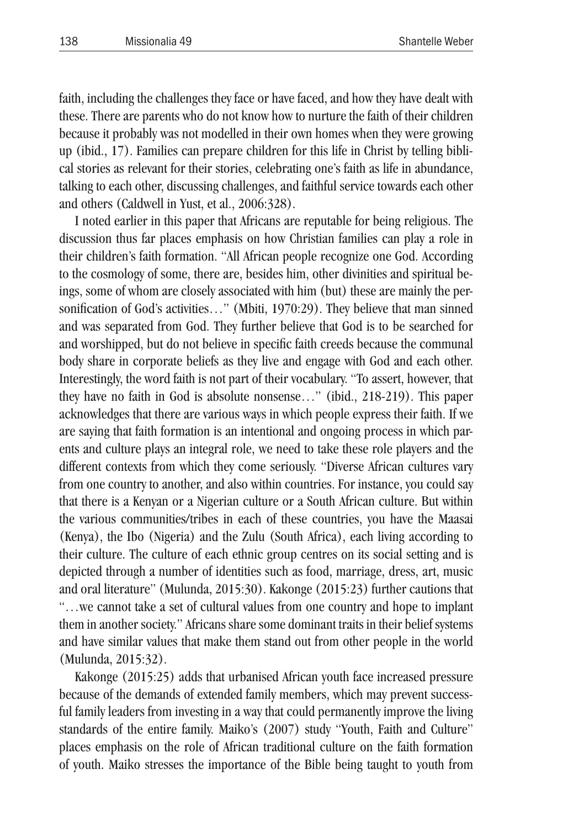faith, including the challenges they face or have faced, and how they have dealt with these. There are parents who do not know how to nurture the faith of their children because it probably was not modelled in their own homes when they were growing up (ibid., 17). Families can prepare children for this life in Christ by telling biblical stories as relevant for their stories, celebrating one's faith as life in abundance, talking to each other, discussing challenges, and faithful service towards each other and others (Caldwell in Yust, et al., 2006:328).

I noted earlier in this paper that Africans are reputable for being religious. The discussion thus far places emphasis on how Christian families can play a role in their children's faith formation. "All African people recognize one God. According to the cosmology of some, there are, besides him, other divinities and spiritual beings, some of whom are closely associated with him (but) these are mainly the personification of God's activities..." (Mbiti, 1970:29). They believe that man sinned and was separated from God. They further believe that God is to be searched for and worshipped, but do not believe in specific faith creeds because the communal body share in corporate beliefs as they live and engage with God and each other. Interestingly, the word faith is not part of their vocabulary. "To assert, however, that they have no faith in God is absolute nonsense…" (ibid., 218-219). This paper acknowledges that there are various ways in which people express their faith. If we are saying that faith formation is an intentional and ongoing process in which parents and culture plays an integral role, we need to take these role players and the different contexts from which they come seriously. "Diverse African cultures vary from one country to another, and also within countries. For instance, you could say that there is a Kenyan or a Nigerian culture or a South African culture. But within the various communities/tribes in each of these countries, you have the Maasai (Kenya), the Ibo (Nigeria) and the Zulu (South Africa), each living according to their culture. The culture of each ethnic group centres on its social setting and is depicted through a number of identities such as food, marriage, dress, art, music and oral literature" (Mulunda, 2015:30). Kakonge (2015:23) further cautions that "…we cannot take a set of cultural values from one country and hope to implant them in another society." Africans share some dominant traits in their belief systems and have similar values that make them stand out from other people in the world (Mulunda, 2015:32).

Kakonge (2015:25) adds that urbanised African youth face increased pressure because of the demands of extended family members, which may prevent successful family leaders from investing in a way that could permanently improve the living standards of the entire family. Maiko's (2007) study "Youth, Faith and Culture" places emphasis on the role of African traditional culture on the faith formation of youth. Maiko stresses the importance of the Bible being taught to youth from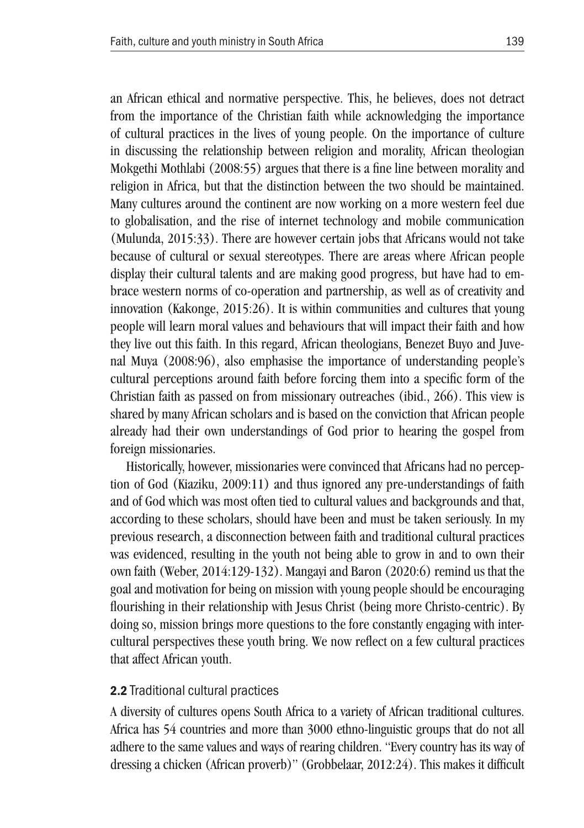an African ethical and normative perspective. This, he believes, does not detract from the importance of the Christian faith while acknowledging the importance of cultural practices in the lives of young people. On the importance of culture in discussing the relationship between religion and morality, African theologian Mokgethi Mothlabi (2008:55) argues that there is a fine line between morality and religion in Africa, but that the distinction between the two should be maintained. Many cultures around the continent are now working on a more western feel due to globalisation, and the rise of internet technology and mobile communication (Mulunda, 2015:33). There are however certain jobs that Africans would not take because of cultural or sexual stereotypes. There are areas where African people display their cultural talents and are making good progress, but have had to embrace western norms of co-operation and partnership, as well as of creativity and innovation (Kakonge, 2015:26). It is within communities and cultures that young people will learn moral values and behaviours that will impact their faith and how they live out this faith. In this regard, African theologians, Benezet Buyo and Juvenal Muya (2008:96), also emphasise the importance of understanding people's cultural perceptions around faith before forcing them into a specific form of the Christian faith as passed on from missionary outreaches (ibid., 266). This view is

shared by many African scholars and is based on the conviction that African people already had their own understandings of God prior to hearing the gospel from foreign missionaries.

Historically, however, missionaries were convinced that Africans had no perception of God (Kiaziku, 2009:11) and thus ignored any pre-understandings of faith and of God which was most often tied to cultural values and backgrounds and that, according to these scholars, should have been and must be taken seriously. In my previous research, a disconnection between faith and traditional cultural practices was evidenced, resulting in the youth not being able to grow in and to own their own faith (Weber, 2014:129-132). Mangayi and Baron (2020:6) remind us that the goal and motivation for being on mission with young people should be encouraging flourishing in their relationship with Jesus Christ (being more Christo-centric). By doing so, mission brings more questions to the fore constantly engaging with intercultural perspectives these youth bring. We now reflect on a few cultural practices that affect African youth.

### 2.2 Traditional cultural practices

A diversity of cultures opens South Africa to a variety of African traditional cultures. Africa has 54 countries and more than 3000 ethno-linguistic groups that do not all adhere to the same values and ways of rearing children. "Every country has its way of dressing a chicken (African proverb)" (Grobbelaar, 2012:24). This makes it difficult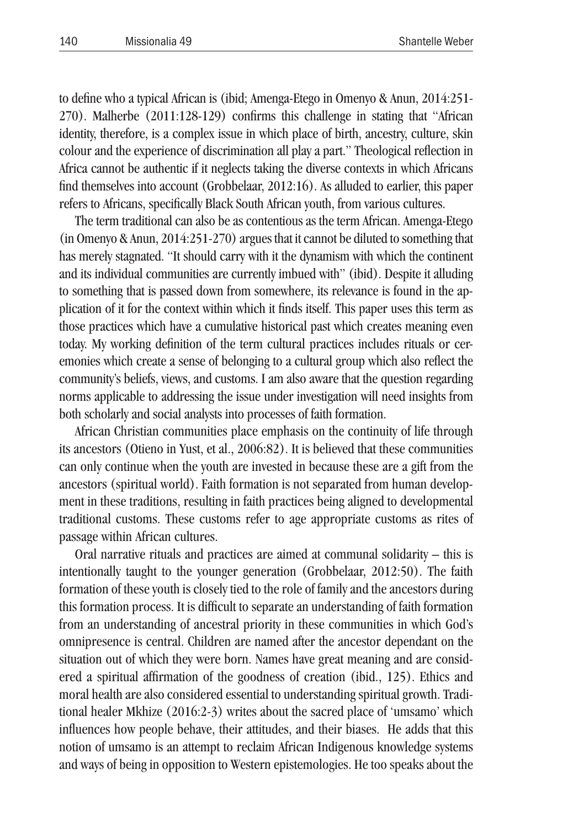to define who a typical African is (ibid; Amenga-Etego in Omenyo & Anun, 2014:251- 270). Malherbe (2011:128-129) confirms this challenge in stating that "African identity, therefore, is a complex issue in which place of birth, ancestry, culture, skin colour and the experience of discrimination all play a part." Theological reflection in Africa cannot be authentic if it neglects taking the diverse contexts in which Africans find themselves into account (Grobbelaar, 2012:16). As alluded to earlier, this paper refers to Africans, specifically Black South African youth, from various cultures.

The term traditional can also be as contentious as the term African. Amenga-Etego (in Omenyo & Anun, 2014:251-270) argues that it cannot be diluted to something that has merely stagnated. "It should carry with it the dynamism with which the continent and its individual communities are currently imbued with" (ibid). Despite it alluding to something that is passed down from somewhere, its relevance is found in the application of it for the context within which it finds itself. This paper uses this term as those practices which have a cumulative historical past which creates meaning even today. My working definition of the term cultural practices includes rituals or ceremonies which create a sense of belonging to a cultural group which also reflect the community's beliefs, views, and customs. I am also aware that the question regarding norms applicable to addressing the issue under investigation will need insights from both scholarly and social analysts into processes of faith formation.

African Christian communities place emphasis on the continuity of life through its ancestors (Otieno in Yust, et al., 2006:82). It is believed that these communities can only continue when the youth are invested in because these are a gift from the ancestors (spiritual world). Faith formation is not separated from human development in these traditions, resulting in faith practices being aligned to developmental traditional customs. These customs refer to age appropriate customs as rites of passage within African cultures.

Oral narrative rituals and practices are aimed at communal solidarity – this is intentionally taught to the younger generation (Grobbelaar, 2012:50). The faith formation of these youth is closely tied to the role of family and the ancestors during this formation process. It is difficult to separate an understanding of faith formation from an understanding of ancestral priority in these communities in which God's omnipresence is central. Children are named after the ancestor dependant on the situation out of which they were born. Names have great meaning and are considered a spiritual affirmation of the goodness of creation (ibid., 125). Ethics and moral health are also considered essential to understanding spiritual growth. Traditional healer Mkhize (2016:2-3) writes about the sacred place of 'umsamo' which influences how people behave, their attitudes, and their biases. He adds that this notion of umsamo is an attempt to reclaim African Indigenous knowledge systems and ways of being in opposition to Western epistemologies. He too speaks about the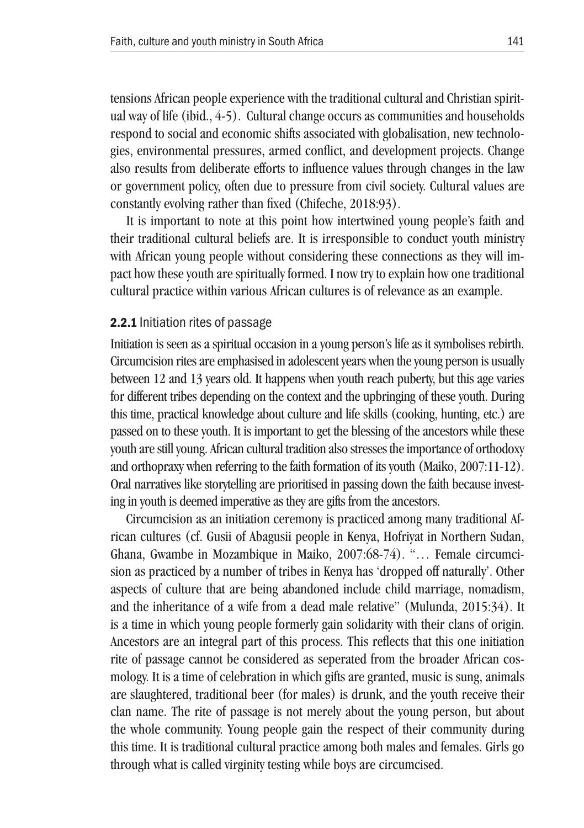tensions African people experience with the traditional cultural and Christian spiritual way of life (ibid., 4-5). Cultural change occurs as communities and households respond to social and economic shifts associated with globalisation, new technologies, environmental pressures, armed conflict, and development projects. Change also results from deliberate efforts to influence values through changes in the law or government policy, often due to pressure from civil society. Cultural values are constantly evolving rather than fixed (Chifeche, 2018:93).

It is important to note at this point how intertwined young people's faith and their traditional cultural beliefs are. It is irresponsible to conduct youth ministry with African young people without considering these connections as they will impact how these youth are spiritually formed. I now try to explain how one traditional cultural practice within various African cultures is of relevance as an example.

#### 2.2.1 Initiation rites of passage

Initiation is seen as a spiritual occasion in a young person's life as it symbolises rebirth. Circumcision rites are emphasised in adolescent years when the young person is usually between 12 and 13 years old. It happens when youth reach puberty, but this age varies for different tribes depending on the context and the upbringing of these youth. During this time, practical knowledge about culture and life skills (cooking, hunting, etc.) are passed on to these youth. It is important to get the blessing of the ancestors while these youth are still young. African cultural tradition also stresses the importance of orthodoxy and orthopraxy when referring to the faith formation of its youth (Maiko, 2007:11-12). Oral narratives like storytelling are prioritised in passing down the faith because investing in youth is deemed imperative as they are gifts from the ancestors.

Circumcision as an initiation ceremony is practiced among many traditional African cultures (cf. Gusii of Abagusii people in Kenya, Hofriyat in Northern Sudan, Ghana, Gwambe in Mozambique in Maiko, 2007:68-74). "… Female circumcision as practiced by a number of tribes in Kenya has 'dropped off naturally'. Other aspects of culture that are being abandoned include child marriage, nomadism, and the inheritance of a wife from a dead male relative" (Mulunda, 2015:34). It is a time in which young people formerly gain solidarity with their clans of origin. Ancestors are an integral part of this process. This reflects that this one initiation rite of passage cannot be considered as seperated from the broader African cosmology. It is a time of celebration in which gifts are granted, music is sung, animals are slaughtered, traditional beer (for males) is drunk, and the youth receive their clan name. The rite of passage is not merely about the young person, but about the whole community. Young people gain the respect of their community during this time. It is traditional cultural practice among both males and females. Girls go through what is called virginity testing while boys are circumcised.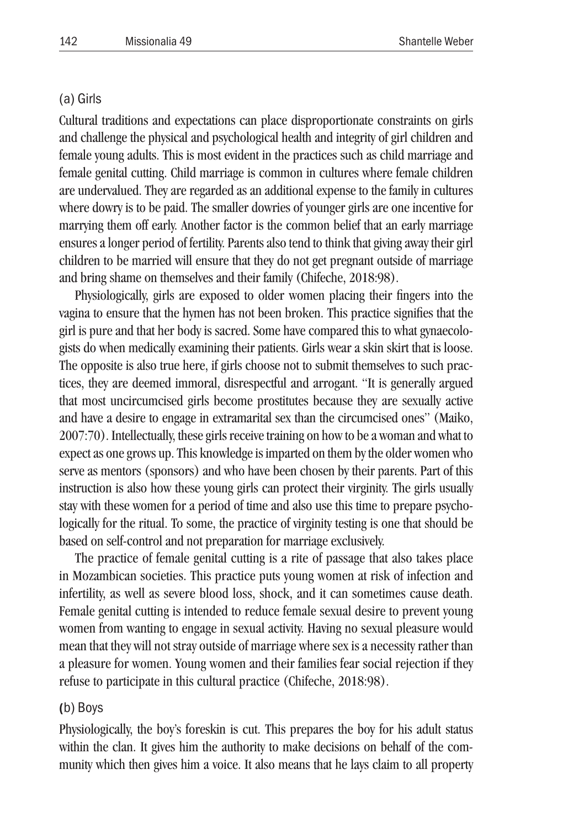#### (a) Girls

Cultural traditions and expectations can place disproportionate constraints on girls and challenge the physical and psychological health and integrity of girl children and female young adults. This is most evident in the practices such as child marriage and female genital cutting. Child marriage is common in cultures where female children are undervalued. They are regarded as an additional expense to the family in cultures where dowry is to be paid. The smaller dowries of younger girls are one incentive for marrying them off early. Another factor is the common belief that an early marriage ensures a longer period of fertility. Parents also tend to think that giving away their girl children to be married will ensure that they do not get pregnant outside of marriage and bring shame on themselves and their family (Chifeche, 2018:98).

Physiologically, girls are exposed to older women placing their fingers into the vagina to ensure that the hymen has not been broken. This practice signifies that the girl is pure and that her body is sacred. Some have compared this to what gynaecologists do when medically examining their patients. Girls wear a skin skirt that is loose. The opposite is also true here, if girls choose not to submit themselves to such practices, they are deemed immoral, disrespectful and arrogant. "It is generally argued that most uncircumcised girls become prostitutes because they are sexually active and have a desire to engage in extramarital sex than the circumcised ones" (Maiko, 2007:70). Intellectually, these girls receive training on how to be a woman and what to expect as one grows up. This knowledge is imparted on them by the older women who serve as mentors (sponsors) and who have been chosen by their parents. Part of this instruction is also how these young girls can protect their virginity. The girls usually stay with these women for a period of time and also use this time to prepare psychologically for the ritual. To some, the practice of virginity testing is one that should be based on self-control and not preparation for marriage exclusively.

The practice of female genital cutting is a rite of passage that also takes place in Mozambican societies. This practice puts young women at risk of infection and infertility, as well as severe blood loss, shock, and it can sometimes cause death. Female genital cutting is intended to reduce female sexual desire to prevent young women from wanting to engage in sexual activity. Having no sexual pleasure would mean that they will not stray outside of marriage where sex is a necessity rather than a pleasure for women. Young women and their families fear social rejection if they refuse to participate in this cultural practice (Chifeche, 2018:98).

#### (b) Boys

Physiologically, the boy's foreskin is cut. This prepares the boy for his adult status within the clan. It gives him the authority to make decisions on behalf of the community which then gives him a voice. It also means that he lays claim to all property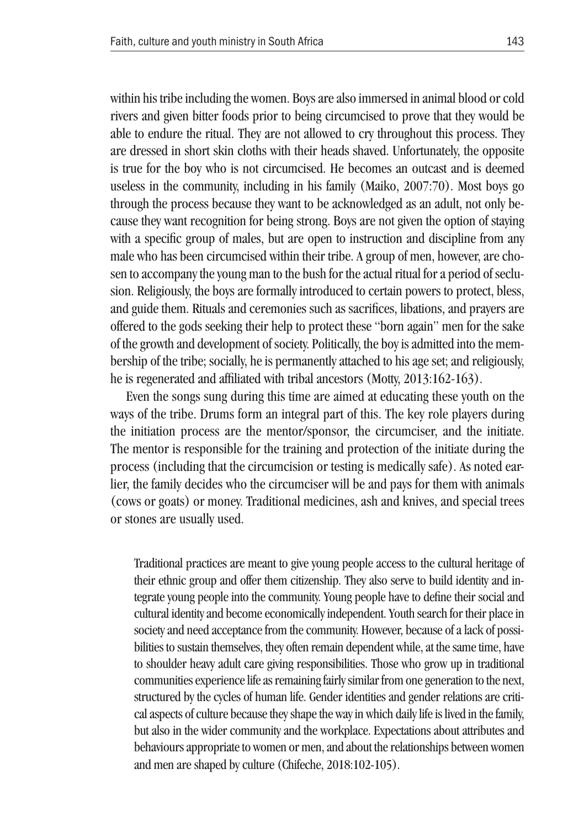within his tribe including the women. Boys are also immersed in animal blood or cold rivers and given bitter foods prior to being circumcised to prove that they would be able to endure the ritual. They are not allowed to cry throughout this process. They are dressed in short skin cloths with their heads shaved. Unfortunately, the opposite is true for the boy who is not circumcised. He becomes an outcast and is deemed useless in the community, including in his family (Maiko, 2007:70). Most boys go through the process because they want to be acknowledged as an adult, not only because they want recognition for being strong. Boys are not given the option of staying with a specific group of males, but are open to instruction and discipline from any male who has been circumcised within their tribe. A group of men, however, are chosen to accompany the young man to the bush for the actual ritual for a period of seclusion. Religiously, the boys are formally introduced to certain powers to protect, bless, and guide them. Rituals and ceremonies such as sacrifices, libations, and prayers are offered to the gods seeking their help to protect these "born again" men for the sake of the growth and development of society. Politically, the boy is admitted into the membership of the tribe; socially, he is permanently attached to his age set; and religiously, he is regenerated and affiliated with tribal ancestors (Motty, 2013:162-163).

Even the songs sung during this time are aimed at educating these youth on the ways of the tribe. Drums form an integral part of this. The key role players during the initiation process are the mentor/sponsor, the circumciser, and the initiate. The mentor is responsible for the training and protection of the initiate during the process (including that the circumcision or testing is medically safe). As noted earlier, the family decides who the circumciser will be and pays for them with animals (cows or goats) or money. Traditional medicines, ash and knives, and special trees or stones are usually used.

Traditional practices are meant to give young people access to the cultural heritage of their ethnic group and offer them citizenship. They also serve to build identity and integrate young people into the community. Young people have to define their social and cultural identity and become economically independent. Youth search for their place in society and need acceptance from the community. However, because of a lack of possibilities to sustain themselves, they often remain dependent while, at the same time, have to shoulder heavy adult care giving responsibilities. Those who grow up in traditional communities experience life as remaining fairly similar from one generation to the next, structured by the cycles of human life. Gender identities and gender relations are critical aspects of culture because they shape the way in which daily life is lived in the family, but also in the wider community and the workplace. Expectations about attributes and behaviours appropriate to women or men, and about the relationships between women and men are shaped by culture (Chifeche, 2018:102-105).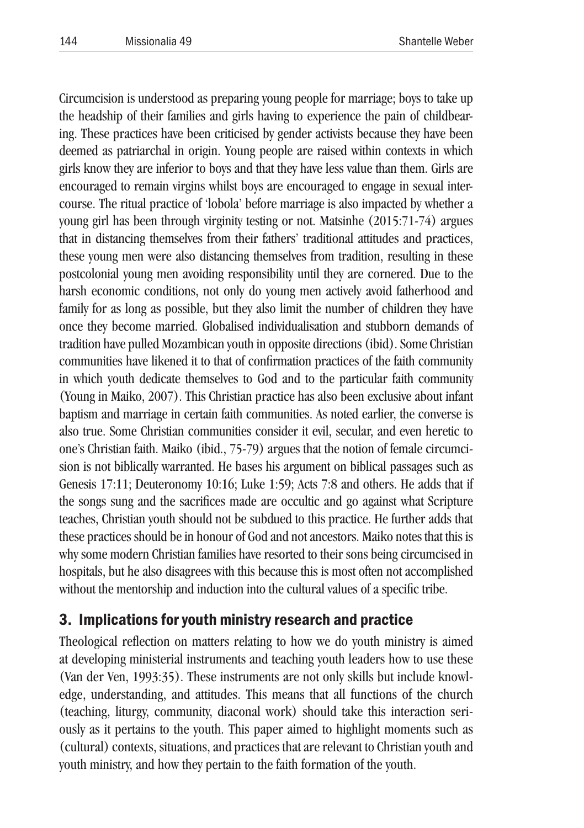Circumcision is understood as preparing young people for marriage; boys to take up the headship of their families and girls having to experience the pain of childbearing. These practices have been criticised by gender activists because they have been deemed as patriarchal in origin. Young people are raised within contexts in which girls know they are inferior to boys and that they have less value than them. Girls are encouraged to remain virgins whilst boys are encouraged to engage in sexual intercourse. The ritual practice of 'lobola' before marriage is also impacted by whether a young girl has been through virginity testing or not. Matsinhe (2015:71-74) argues that in distancing themselves from their fathers' traditional attitudes and practices, these young men were also distancing themselves from tradition, resulting in these postcolonial young men avoiding responsibility until they are cornered. Due to the harsh economic conditions, not only do young men actively avoid fatherhood and family for as long as possible, but they also limit the number of children they have once they become married. Globalised individualisation and stubborn demands of tradition have pulled Mozambican youth in opposite directions (ibid). Some Christian communities have likened it to that of confirmation practices of the faith community in which youth dedicate themselves to God and to the particular faith community (Young in Maiko, 2007). This Christian practice has also been exclusive about infant baptism and marriage in certain faith communities. As noted earlier, the converse is also true. Some Christian communities consider it evil, secular, and even heretic to one's Christian faith. Maiko (ibid., 75-79) argues that the notion of female circumcision is not biblically warranted. He bases his argument on biblical passages such as Genesis 17:11; Deuteronomy 10:16; Luke 1:59; Acts 7:8 and others. He adds that if the songs sung and the sacrifices made are occultic and go against what Scripture teaches, Christian youth should not be subdued to this practice. He further adds that these practices should be in honour of God and not ancestors. Maiko notes that this is why some modern Christian families have resorted to their sons being circumcised in hospitals, but he also disagrees with this because this is most often not accomplished without the mentorship and induction into the cultural values of a specific tribe.

# 3. Implications for youth ministry research and practice

Theological reflection on matters relating to how we do youth ministry is aimed at developing ministerial instruments and teaching youth leaders how to use these (Van der Ven, 1993:35). These instruments are not only skills but include knowledge, understanding, and attitudes. This means that all functions of the church (teaching, liturgy, community, diaconal work) should take this interaction seriously as it pertains to the youth. This paper aimed to highlight moments such as (cultural) contexts, situations, and practices that are relevant to Christian youth and youth ministry, and how they pertain to the faith formation of the youth.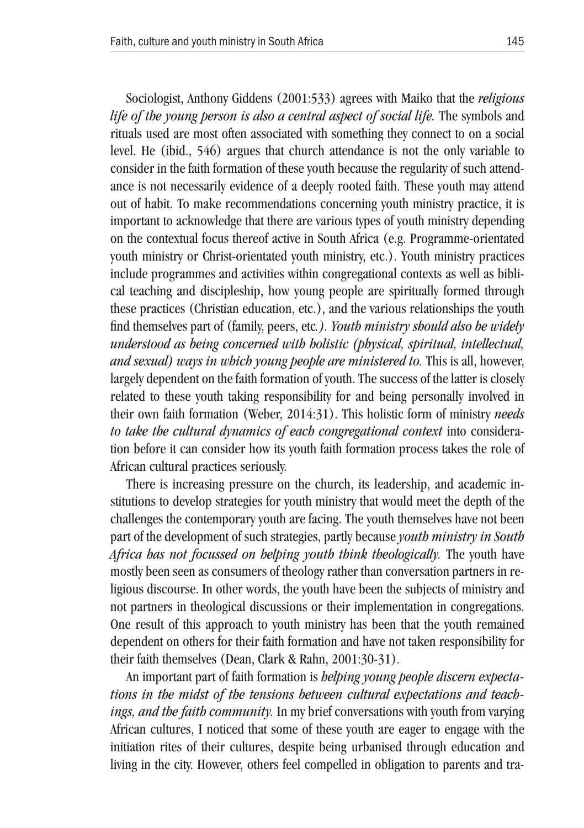Sociologist, Anthony Giddens (2001:533) agrees with Maiko that the *religious life of the young person is also a central aspect of social life.* The symbols and rituals used are most often associated with something they connect to on a social level. He (ibid., 546) argues that church attendance is not the only variable to consider in the faith formation of these youth because the regularity of such attendance is not necessarily evidence of a deeply rooted faith. These youth may attend out of habit. To make recommendations concerning youth ministry practice, it is important to acknowledge that there are various types of youth ministry depending on the contextual focus thereof active in South Africa (e.g. Programme-orientated youth ministry or Christ-orientated youth ministry, etc.). Youth ministry practices include programmes and activities within congregational contexts as well as biblical teaching and discipleship, how young people are spiritually formed through these practices (Christian education, etc.), and the various relationships the youth find themselves part of (family, peers, etc*.). Youth ministry should also be widely understood as being concerned with holistic (physical, spiritual, intellectual, and sexual) ways in which young people are ministered to.* This is all, however, largely dependent on the faith formation of youth. The success of the latter is closely related to these youth taking responsibility for and being personally involved in their own faith formation (Weber, 2014:31). This holistic form of ministry *needs to take the cultural dynamics of each congregational context* into consideration before it can consider how its youth faith formation process takes the role of African cultural practices seriously.

There is increasing pressure on the church, its leadership, and academic institutions to develop strategies for youth ministry that would meet the depth of the challenges the contemporary youth are facing. The youth themselves have not been part of the development of such strategies, partly because *youth ministry in South Africa has not focussed on helping youth think theologically.* The youth have mostly been seen as consumers of theology rather than conversation partners in religious discourse. In other words, the youth have been the subjects of ministry and not partners in theological discussions or their implementation in congregations. One result of this approach to youth ministry has been that the youth remained dependent on others for their faith formation and have not taken responsibility for their faith themselves (Dean, Clark & Rahn, 2001:30-31).

An important part of faith formation is *helping young people discern expectations in the midst of the tensions between cultural expectations and teachings, and the faith community.* In my brief conversations with youth from varying African cultures, I noticed that some of these youth are eager to engage with the initiation rites of their cultures, despite being urbanised through education and living in the city. However, others feel compelled in obligation to parents and tra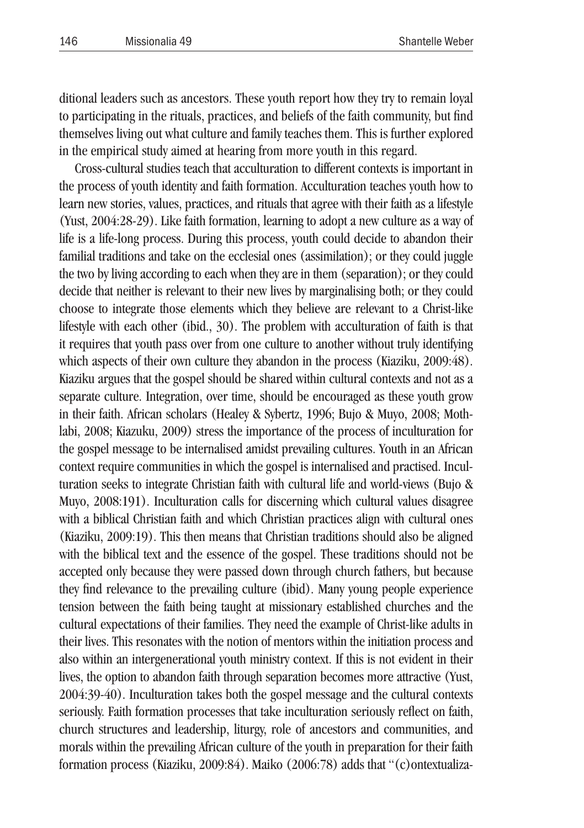ditional leaders such as ancestors. These youth report how they try to remain loyal to participating in the rituals, practices, and beliefs of the faith community, but find themselves living out what culture and family teaches them. This is further explored in the empirical study aimed at hearing from more youth in this regard.

Cross-cultural studies teach that acculturation to different contexts is important in the process of youth identity and faith formation. Acculturation teaches youth how to learn new stories, values, practices, and rituals that agree with their faith as a lifestyle (Yust, 2004:28-29). Like faith formation, learning to adopt a new culture as a way of life is a life-long process. During this process, youth could decide to abandon their familial traditions and take on the ecclesial ones (assimilation); or they could juggle the two by living according to each when they are in them (separation); or they could decide that neither is relevant to their new lives by marginalising both; or they could choose to integrate those elements which they believe are relevant to a Christ-like lifestyle with each other (ibid., 30). The problem with acculturation of faith is that it requires that youth pass over from one culture to another without truly identifying which aspects of their own culture they abandon in the process (Kiaziku, 2009:48). Kiaziku argues that the gospel should be shared within cultural contexts and not as a separate culture. Integration, over time, should be encouraged as these youth grow in their faith. African scholars (Healey & Sybertz, 1996; Bujo & Muyo, 2008; Mothlabi, 2008; Kiazuku, 2009) stress the importance of the process of inculturation for the gospel message to be internalised amidst prevailing cultures. Youth in an African context require communities in which the gospel is internalised and practised. Inculturation seeks to integrate Christian faith with cultural life and world-views (Bujo & Muyo, 2008:191). Inculturation calls for discerning which cultural values disagree with a biblical Christian faith and which Christian practices align with cultural ones (Kiaziku, 2009:19). This then means that Christian traditions should also be aligned with the biblical text and the essence of the gospel. These traditions should not be accepted only because they were passed down through church fathers, but because they find relevance to the prevailing culture (ibid). Many young people experience tension between the faith being taught at missionary established churches and the cultural expectations of their families. They need the example of Christ-like adults in their lives. This resonates with the notion of mentors within the initiation process and also within an intergenerational youth ministry context. If this is not evident in their lives, the option to abandon faith through separation becomes more attractive (Yust, 2004:39-40). Inculturation takes both the gospel message and the cultural contexts seriously. Faith formation processes that take inculturation seriously reflect on faith, church structures and leadership, liturgy, role of ancestors and communities, and morals within the prevailing African culture of the youth in preparation for their faith formation process (Kiaziku, 2009:84). Maiko (2006:78) adds that "(c)ontextualiza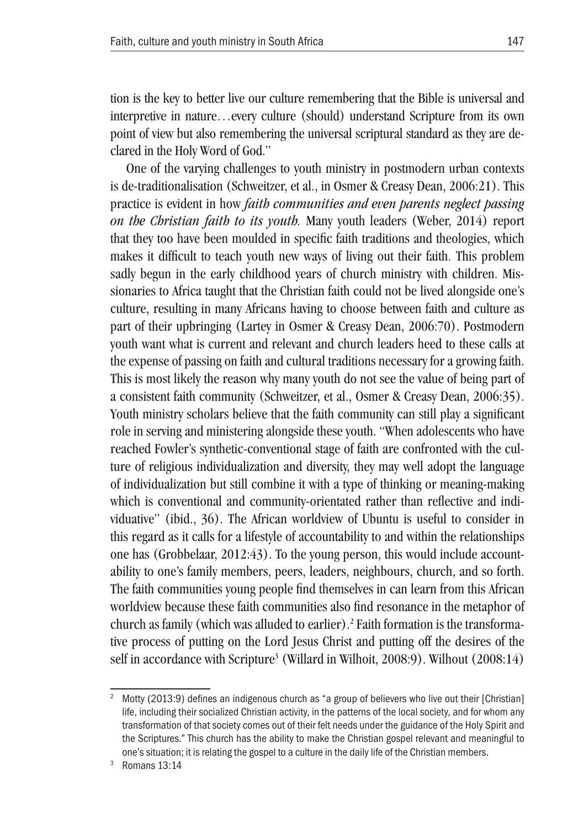tion is the key to better live our culture remembering that the Bible is universal and interpretive in nature…every culture (should) understand Scripture from its own point of view but also remembering the universal scriptural standard as they are declared in the Holy Word of God."

One of the varying challenges to youth ministry in postmodern urban contexts is de-traditionalisation (Schweitzer, et al., in Osmer & Creasy Dean, 2006:21). This practice is evident in how *faith communities and even parents neglect passing on the Christian faith to its youth.* Many youth leaders (Weber, 2014) report that they too have been moulded in specific faith traditions and theologies, which makes it difficult to teach youth new ways of living out their faith. This problem sadly begun in the early childhood years of church ministry with children. Missionaries to Africa taught that the Christian faith could not be lived alongside one's culture, resulting in many Africans having to choose between faith and culture as part of their upbringing (Lartey in Osmer & Creasy Dean, 2006:70). Postmodern youth want what is current and relevant and church leaders heed to these calls at the expense of passing on faith and cultural traditions necessary for a growing faith. This is most likely the reason why many youth do not see the value of being part of a consistent faith community (Schweitzer, et al., Osmer & Creasy Dean, 2006:35). Youth ministry scholars believe that the faith community can still play a significant role in serving and ministering alongside these youth. "When adolescents who have reached Fowler's synthetic-conventional stage of faith are confronted with the culture of religious individualization and diversity, they may well adopt the language of individualization but still combine it with a type of thinking or meaning-making which is conventional and community-orientated rather than reflective and individuative" (ibid., 36). The African worldview of Ubuntu is useful to consider in this regard as it calls for a lifestyle of accountability to and within the relationships one has (Grobbelaar, 2012:43). To the young person, this would include accountability to one's family members, peers, leaders, neighbours, church, and so forth. The faith communities young people find themselves in can learn from this African worldview because these faith communities also find resonance in the metaphor of church as family (which was alluded to earlier). 2 Faith formation is the transformative process of putting on the Lord Jesus Christ and putting off the desires of the self in accordance with Scripture<sup>3</sup> (Willard in Wilhoit, 2008:9). Wilhout (2008:14)

<sup>&</sup>lt;sup>2</sup> Motty (2013:9) defines an indigenous church as "a group of believers who live out their [Christian] life, including their socialized Christian activity, in the patterns of the local society, and for whom any transformation of that society comes out of their felt needs under the guidance of the Holy Spirit and the Scriptures." This church has the ability to make the Christian gospel relevant and meaningful to one's situation; it is relating the gospel to a culture in the daily life of the Christian members.

<sup>&</sup>lt;sup>3</sup> Romans 13:14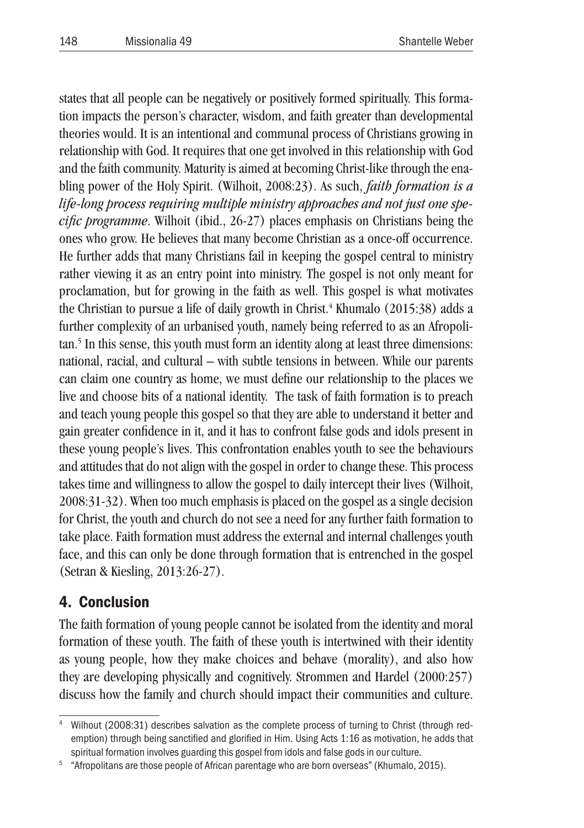states that all people can be negatively or positively formed spiritually. This formation impacts the person's character, wisdom, and faith greater than developmental theories would. It is an intentional and communal process of Christians growing in relationship with God. It requires that one get involved in this relationship with God and the faith community. Maturity is aimed at becoming Christ-like through the enabling power of the Holy Spirit. (Wilhoit, 2008:23). As such, *faith formation is a life-long process requiring multiple ministry approaches and not just one specific programme*. Wilhoit (ibid., 26-27) places emphasis on Christians being the ones who grow. He believes that many become Christian as a once-off occurrence. He further adds that many Christians fail in keeping the gospel central to ministry rather viewing it as an entry point into ministry. The gospel is not only meant for proclamation, but for growing in the faith as well. This gospel is what motivates the Christian to pursue a life of daily growth in Christ. 4 Khumalo (2015:38) adds a further complexity of an urbanised youth, namely being referred to as an Afropolitan. 5 In this sense, this youth must form an identity along at least three dimensions: national, racial, and cultural – with subtle tensions in between. While our parents can claim one country as home, we must define our relationship to the places we live and choose bits of a national identity. The task of faith formation is to preach and teach young people this gospel so that they are able to understand it better and gain greater confidence in it, and it has to confront false gods and idols present in these young people's lives. This confrontation enables youth to see the behaviours and attitudes that do not align with the gospel in order to change these. This process takes time and willingness to allow the gospel to daily intercept their lives (Wilhoit, 2008:31-32). When too much emphasis is placed on the gospel as a single decision for Christ, the youth and church do not see a need for any further faith formation to take place. Faith formation must address the external and internal challenges youth face, and this can only be done through formation that is entrenched in the gospel (Setran & Kiesling, 2013:26-27).

# 4. Conclusion

The faith formation of young people cannot be isolated from the identity and moral formation of these youth. The faith of these youth is intertwined with their identity as young people, how they make choices and behave (morality), and also how they are developing physically and cognitively. Strommen and Hardel (2000:257) discuss how the family and church should impact their communities and culture.

<sup>4</sup> Wilhout (2008:31) describes salvation as the complete process of turning to Christ (through redemption) through being sanctified and glorified in Him. Using Acts 1:16 as motivation, he adds that spiritual formation involves guarding this gospel from idols and false gods in our culture.<br><sup>5</sup> "Afropolitans are those people of African parentage who are born overseas" (Khumalo, 2015).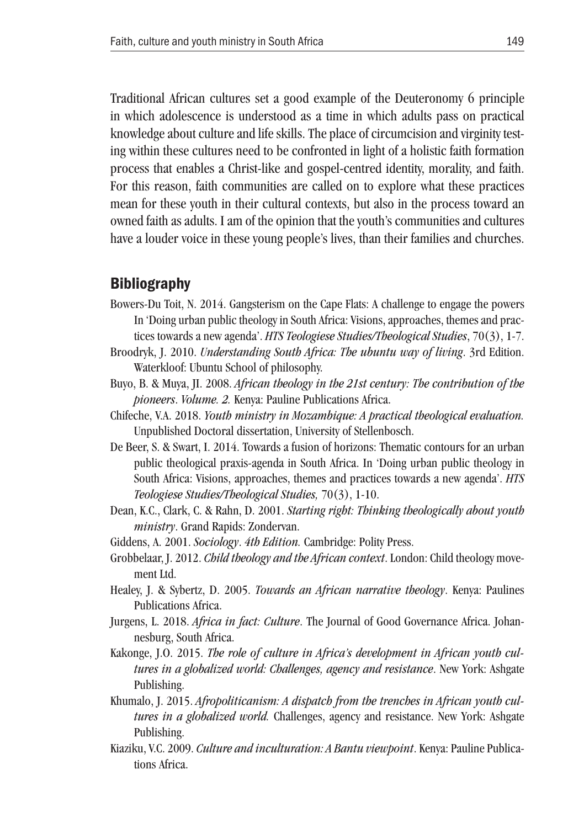Traditional African cultures set a good example of the Deuteronomy 6 principle in which adolescence is understood as a time in which adults pass on practical knowledge about culture and life skills. The place of circumcision and virginity testing within these cultures need to be confronted in light of a holistic faith formation process that enables a Christ-like and gospel-centred identity, morality, and faith. For this reason, faith communities are called on to explore what these practices mean for these youth in their cultural contexts, but also in the process toward an owned faith as adults. I am of the opinion that the youth's communities and cultures have a louder voice in these young people's lives, than their families and churches.

### Bibliography

- Bowers-Du Toit, N. 2014. Gangsterism on the Cape Flats: A challenge to engage the powers In 'Doing urban public theology in South Africa: Visions, approaches, themes and practices towards a new agenda'. *HTS Teologiese Studies/Theological Studies*, 70(3), 1-7.
- Broodryk, J. 2010. *Understanding South Africa: The ubuntu way of living*. 3rd Edition. Waterkloof: Ubuntu School of philosophy.
- Buyo, B. & Muya, JI. 2008. *African theology in the 21st century: The contribution of the pioneers*. *Volume. 2.* Kenya: Pauline Publications Africa.
- Chifeche, V.A. 2018. *Youth ministry in Mozambique: A practical theological evaluation.* Unpublished Doctoral dissertation, University of Stellenbosch.
- De Beer, S. & Swart, I. 2014. Towards a fusion of horizons: Thematic contours for an urban public theological praxis-agenda in South Africa. In 'Doing urban public theology in South Africa: Visions, approaches, themes and practices towards a new agenda'. *HTS Teologiese Studies/Theological Studies,* 70(3), 1-10.
- Dean, K.C., Clark, C. & Rahn, D. 2001. *Starting right: Thinking theologically about youth ministry*. Grand Rapids: Zondervan.
- Giddens, A. 2001. *Sociology*. *4th Edition.* Cambridge: Polity Press.
- Grobbelaar, J. 2012. *Child theology and the African context*. London: Child theology movement Ltd.
- Healey, J. & Sybertz, D. 2005. *Towards an African narrative theology*. Kenya: Paulines Publications Africa.
- Jurgens, L. 2018. *Africa in fact: Culture*. The Journal of Good Governance Africa. Johannesburg, South Africa.
- Kakonge, J.O. 2015. *The role of culture in Africa's development in African youth cultures in a globalized world: Challenges, agency and resistance*. New York: Ashgate Publishing.
- Khumalo, J. 2015. *Afropoliticanism: A dispatch from the trenches in African youth cultures in a globalized world.* Challenges, agency and resistance. New York: Ashgate Publishing.
- Kiaziku, V.C. 2009. *Culture and inculturation: A Bantu viewpoint*. Kenya: Pauline Publications Africa.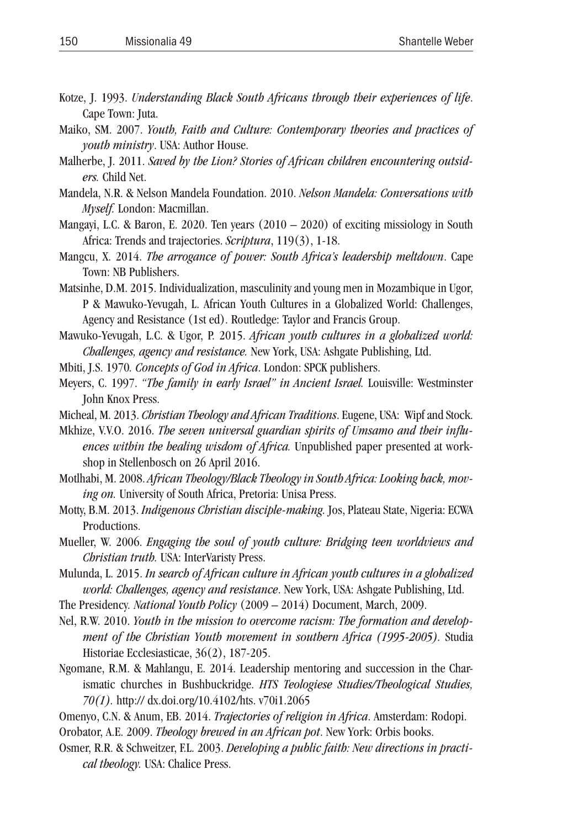- Kotze, J. 1993. *Understanding Black South Africans through their experiences of life*. Cape Town: Juta.
- Maiko, SM. 2007. *Youth, Faith and Culture: Contemporary theories and practices of youth ministry*. USA: Author House.
- Malherbe, J. 2011. *Saved by the Lion? Stories of African children encountering outsiders.* Child Net.
- Mandela, N.R. & Nelson Mandela Foundation. 2010. *Nelson Mandela: Conversations with Myself.* London: Macmillan.
- Mangayi, L.C. & Baron, E. 2020. Ten years  $(2010 2020)$  of exciting missiology in South Africa: Trends and trajectories. *Scriptura*, 119(3), 1-18.
- Mangcu, X. 2014. *The arrogance of power: South Africa's leadership meltdown*. Cape Town: NB Publishers.
- Matsinhe, D.M. 2015. Individualization, masculinity and young men in Mozambique in Ugor, P & Mawuko-Yevugah, L. African Youth Cultures in a Globalized World: Challenges, Agency and Resistance (1st ed). Routledge: Taylor and Francis Group.

Mawuko-Yevugah, L.C. & Ugor, P. 2015. *African youth cultures in a globalized world: Challenges, agency and resistance.* New York, USA: Ashgate Publishing, Ltd.

- Mbiti, J.S. 1970*. Concepts of God in Africa*. London: SPCK publishers.
- Meyers, C. 1997. *"The family in early Israel" in Ancient Israel.* Louisville: Westminster John Knox Press.

Micheal, M. 2013. *Christian Theology and African Traditions*. Eugene, USA: Wipf and Stock.

- Mkhize, V.V.O. 2016. *The seven universal guardian spirits of Umsamo and their influences within the healing wisdom of Africa.* Unpublished paper presented at workshop in Stellenbosch on 26 April 2016.
- Motlhabi, M. 2008. *African Theology/Black Theology in South Africa: Looking back, moving on.* University of South Africa, Pretoria: Unisa Press.
- Motty, B.M. 2013. *Indigenous Christian disciple-making.* Jos, Plateau State, Nigeria: ECWA Productions.
- Mueller, W. 2006. *Engaging the soul of youth culture: Bridging teen worldviews and Christian truth.* USA: InterVaristy Press.
- Mulunda, L. 2015. *In search of African culture in African youth cultures in a globalized world: Challenges, agency and resistance*. New York, USA: Ashgate Publishing, Ltd.
- The Presidency*. National Youth Policy* (2009 2014) Document, March, 2009.
- Nel, R.W. 2010. *Youth in the mission to overcome racism: The formation and development of the Christian Youth movement in southern Africa (1995-2005).* Studia Historiae Ecclesiasticae, 36(2), 187-205.
- Ngomane, R.M. & Mahlangu, E. 2014. Leadership mentoring and succession in the Charismatic churches in Bushbuckridge. *HTS Teologiese Studies/Theological Studies, 70(1).* http:// dx.doi.org/10.4102/hts. v70i1.2065
- Omenyo, C.N. & Anum, EB. 2014. *Trajectories of religion in Africa*. Amsterdam: Rodopi.
- Orobator, A.E. 2009. *Theology brewed in an African pot*. New York: Orbis books.
- Osmer, R.R. & Schweitzer, F.L. 2003. *Developing a public faith: New directions in practical theology.* USA: Chalice Press.